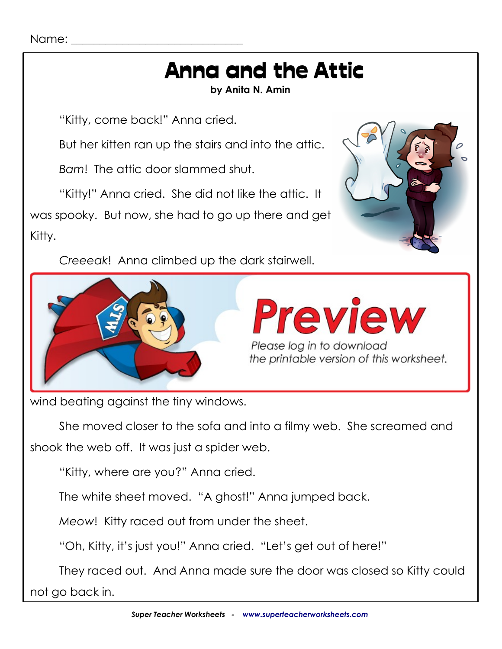#### Name:

# Anna and the Attic

**by Anita N. Amin**

"Kitty, come back!" Anna cried.

But her kitten ran up the stairs and into the attic.

*Bam*! The attic door slammed shut.

"Kitty!" Anna cried. She did not like the attic. It was spooky. But now, she had to go up there and get Kitty.

*Creeeak*! Anna climbed up the dark stairwell.





wind beating against the tiny windows.

She moved closer to the sofa and into a filmy web. She screamed and shook the web off. It was just a spider web.

"Kitty, where are you?" Anna cried.

The white sheet moved. "A ghost!" Anna jumped back.

*Meow*! Kitty raced out from under the sheet.

"Oh, Kitty, it's just you!" Anna cried. "Let's get out of here!"

They raced out. And Anna made sure the door was closed so Kitty could not go back in.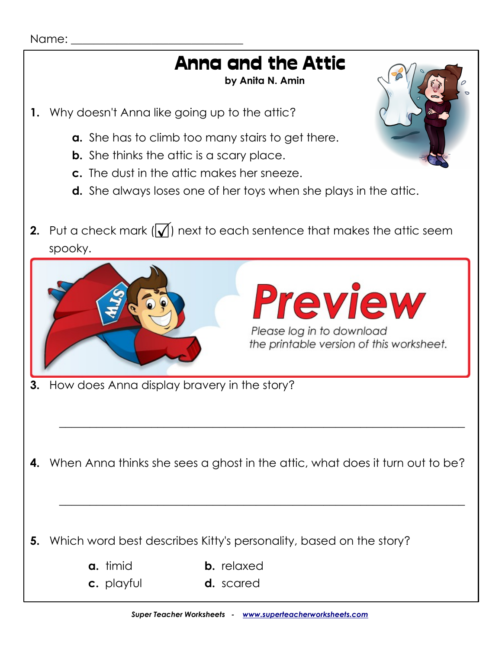#### Name:

## Anna and the Attic

**by Anita N. Amin**

- **1.** Why doesn't Anna like going up to the attic?
	- **a.** She has to climb too many stairs to get there.
	- **b.** She thinks the attic is a scary place.
	- **c.** The dust in the attic makes her sneeze.
	- **d.** She always loses one of her toys when she plays in the attic.
- **2.** Put a check mark  $[\sqrt{\phantom{a}}]$  next to each sentence that makes the attic seem spooky.

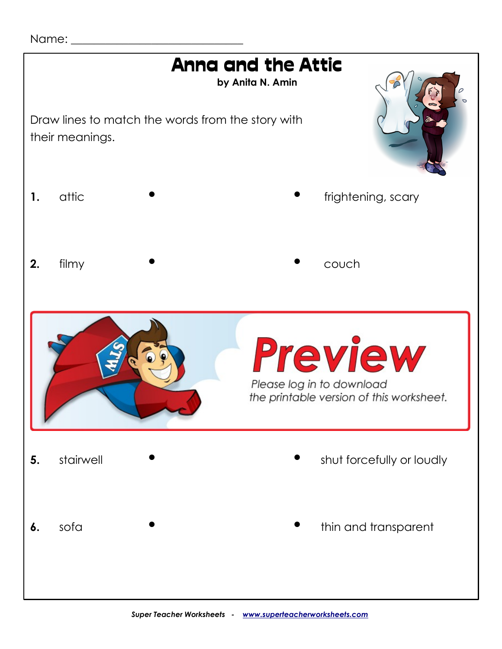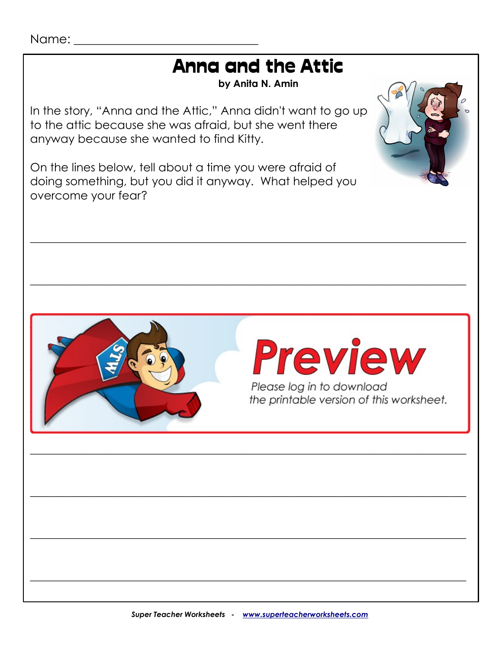## **Anna and the Attic**

by Anita N. Amin

In the story, "Anna and the Attic," Anna didn't want to go up to the attic because she was afraid, but she went there anyway because she wanted to find Kitty.

On the lines below, tell about a time you were afraid of doing something, but you did it anyway. What helped you overcome your fear?







Please log in to download the printable version of this worksheet.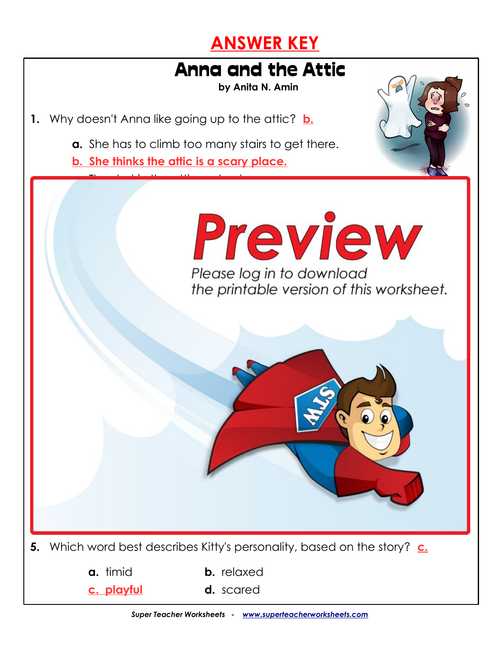### **ANSWER KEY**

## Anna and the Attic

**by Anita N. Amin**

- **1.** Why doesn't Anna like going up to the attic? **b.**
	- **a.** She has to climb too many stairs to get there.
	- **b. She thinks the attic is a scary place.**

**c.** The dust in the attic makes her sneeze.